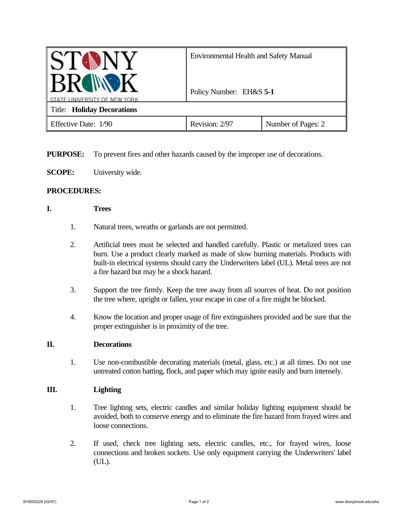| BROWN                      | <b>Environmental Health and Safety Manual</b> |                    |
|----------------------------|-----------------------------------------------|--------------------|
| JNIVERSITY OF NEW YORK     | Policy Number: EH&S 5-1                       |                    |
| Title: Holiday Decorations |                                               |                    |
| Effective Date: 1/90       | Revision: 2/97                                | Number of Pages: 2 |

**PURPOSE:** To prevent fires and other hazards caused by the improper use of decorations.

**SCOPE:** University wide.

## **PROCEDURES:**

## **I. Trees**

- 1. Natural trees, wreaths or garlands are not permitted.
- 2. Artificial trees must be selected and handled carefully. Plastic or metalized trees can burn. Use a product clearly marked as made of slow burning materials. Products with built-in electrical systems should carry the Underwriters label (UL). Metal trees are not a fire hazard but may be a shock hazard.
- 3. Support the tree firmly. Keep the tree away from all sources of heat. Do not position the tree where, upright or fallen, your escape in case of a fire might be blocked.
- 4. Know the location and proper usage of fire extinguishers provided and be sure that the proper extinguisher is in proximity of the tree.

## **II. Decorations**

1. Use non-combustible decorating materials (metal, glass, etc.) at all times. Do not use untreated cotton batting, flock, and paper which may ignite easily and burn intensely.

## **III. Lighting**

- 1. Tree lighting sets, electric candles and similar holiday lighting equipment should be avoided, both to conserve energy and to eliminate the fire hazard from frayed wires and loose connections.
- 2. If used, check tree lighting sets, electric candles, etc., for frayed wires, loose connections and broken sockets. Use only equipment carrying the Underwriters' label (UL).